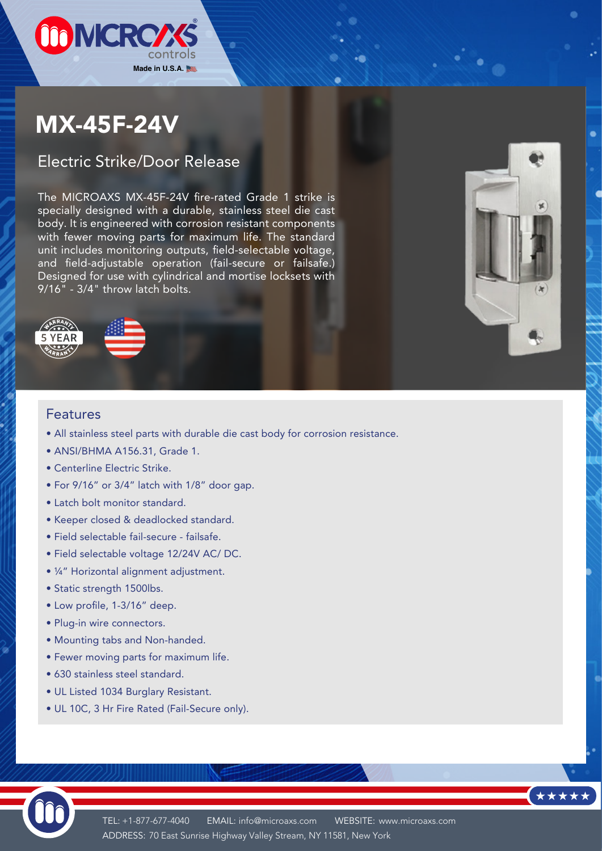

# MX-45F-24V

#### Electric Strike/Door Release

The MICROAXS MX-45F-24V fire-rated Grade 1 strike is specially designed with a durable, stainless steel die cast body. It is engineered with corrosion resistant components with fewer moving parts for maximum life. The standard unit includes monitoring outputs, field-selectable voltage, and field-adjustable operation (fail-secure or failsafe.) Designed for use with cylindrical and mortise locksets with 9/16" - 3/4" throw latch bolts.





#### Features

- All stainless steel parts with durable die cast body for corrosion resistance.
- ANSI/BHMA A156.31, Grade 1.
- Centerline Electric Strike.
- For 9/16" or 3/4" latch with 1/8" door gap.
- Latch bolt monitor standard.
- Keeper closed & deadlocked standard.
- Field selectable fail-secure failsafe.
- Field selectable voltage 12/24V AC/ DC.
- ¼" Horizontal alignment adjustment.
- Static strength 1500lbs.
- Low profile, 1-3/16" deep.
- Plug-in wire connectors.
- Mounting tabs and Non-handed.
- Fewer moving parts for maximum life.
- 630 stainless steel standard.
- UL Listed 1034 Burglary Resistant.
- UL 10C, 3 Hr Fire Rated (Fail-Secure only).



\*\*\*\*\*